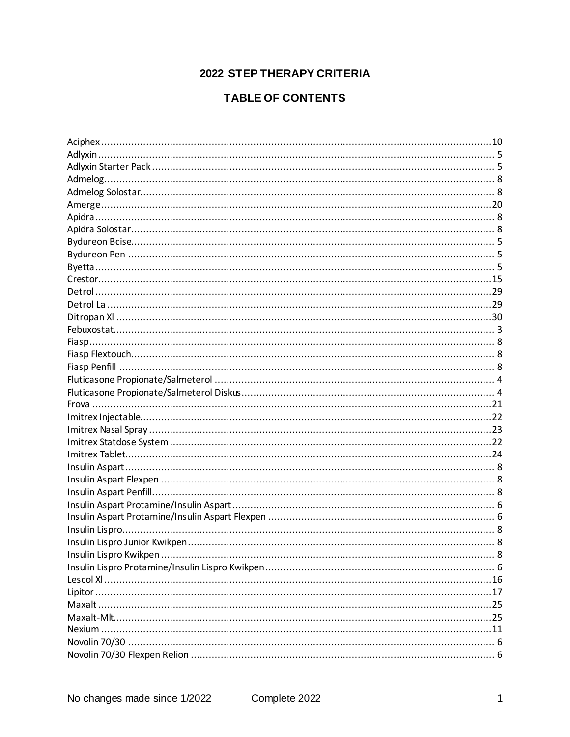# **2022 STEP THERAPY CRITERIA**

# **TABLE OF CONTENTS**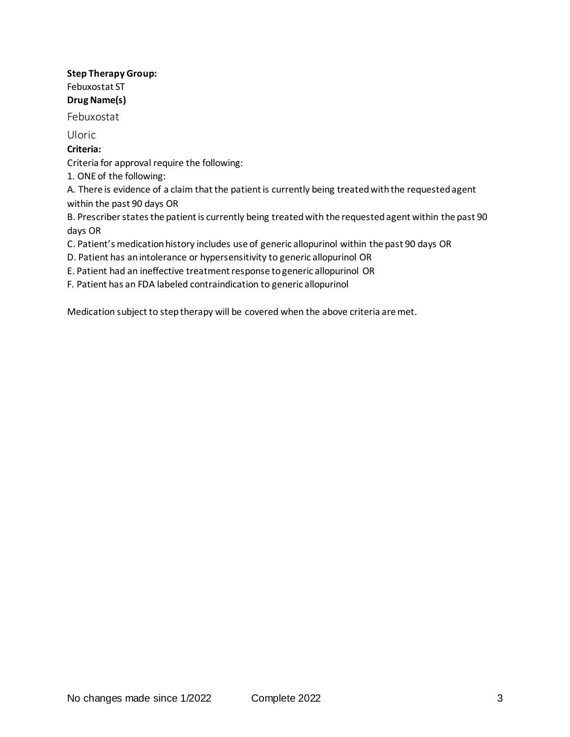#### **Step Therapy Group:** Febuxostat ST **Drug Name(s)**

Febuxostat

Uloric

# **Criteria:**

Criteria for approval require the following:

1. ONE of the following:

A. There is evidence of a claim that the patient is currently being treated with the requested agent within the past 90 days OR

B. Prescriber states the patient is currently being treated with the requested agent within the past 90 days OR

C. Patient's medication history includes use of generic allopurinol within the past 90 days OR

- D. Patient has an intolerance or hypersensitivity to generic allopurinol OR
- E. Patient had an ineffective treatment response to generic allopurinol OR
- F. Patient has an FDA labeled contraindication to generic allopurinol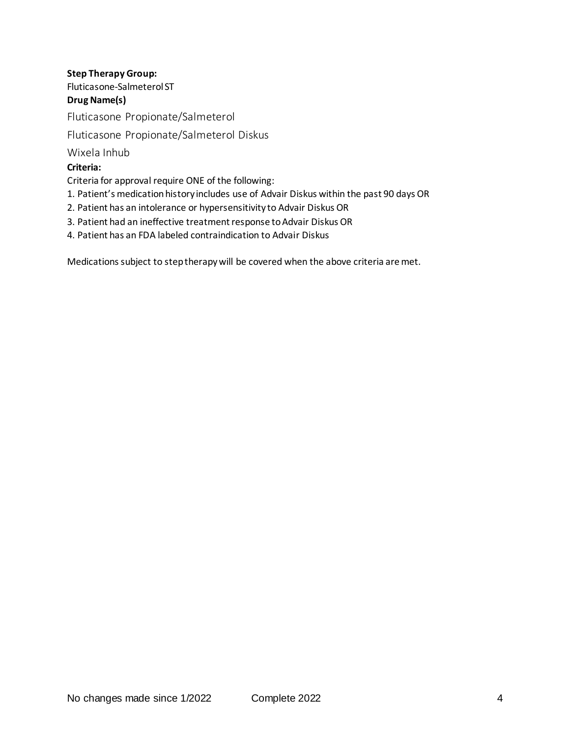# **Step Therapy Group:** Fluticasone-Salmeterol ST

## **Drug Name(s)**

Fluticasone Propionate/Salmeterol

# Fluticasone Propionate/Salmeterol Diskus

Wixela Inhub

## **Criteria:**

Criteria for approval require ONE of the following:

- 1. Patient's medication history includes use of Advair Diskus within the past 90 days OR
- 2. Patient has an intolerance or hypersensitivity to Advair Diskus OR
- 3. Patient had an ineffective treatment response to Advair Diskus OR
- 4. Patient has an FDA labeled contraindication to Advair Diskus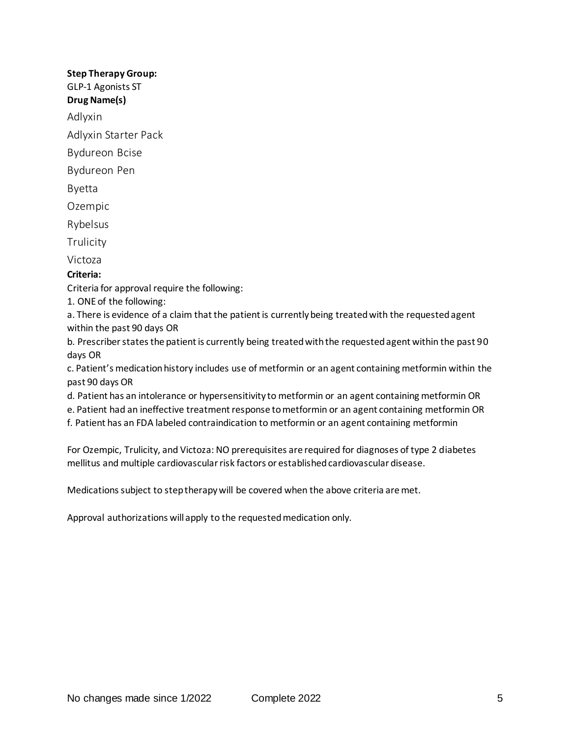#### **Step Therapy Group:** GLP-1 Agonists ST

# **Drug Name(s)**

Adlyxin

Adlyxin Starter Pack

Bydureon Bcise

Bydureon Pen

Byetta

Ozempic

Rybelsus

**Trulicity** 

Victoza

# **Criteria:**

Criteria for approval require the following:

1. ONE of the following:

a. There is evidence of a claim that the patient is currently being treated with the requested agent within the past 90 days OR

b. Prescriber states the patient is currently being treated with the requested agent within the past 90 days OR

c. Patient's medication history includes use of metformin or an agent containing metformin within the past 90 days OR

- d. Patient has an intolerance or hypersensitivity to metformin or an agent containing metformin OR
- e. Patient had an ineffective treatment response to metformin or an agent containing metformin OR

f. Patient has an FDA labeled contraindication to metformin or an agent containing metformin

For Ozempic, Trulicity, and Victoza: NO prerequisites are required for diagnoses of type 2 diabetes mellitus and multiple cardiovascular risk factors or established cardiovascular disease.

Medications subject to step therapy will be covered when the above criteria are met.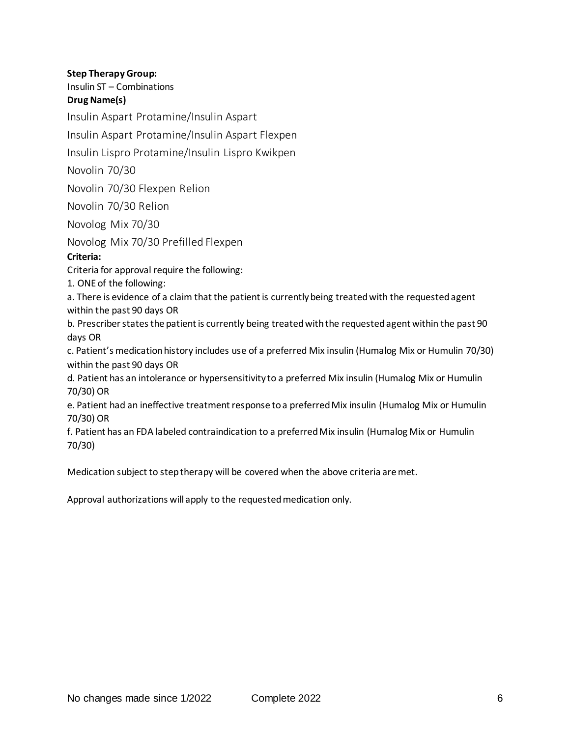#### **Step Therapy Group:**

Insulin ST – Combinations

#### **Drug Name(s)**

Insulin Aspart Protamine/Insulin Aspart

Insulin Aspart Protamine/Insulin Aspart Flexpen

Insulin Lispro Protamine/Insulin Lispro Kwikpen

Novolin 70/30

Novolin 70/30 Flexpen Relion

Novolin 70/30 Relion

Novolog Mix 70/30

Novolog Mix 70/30 Prefilled Flexpen

#### **Criteria:**

Criteria for approval require the following:

1. ONE of the following:

a. There is evidence of a claim that the patient is currently being treated with the requested agent within the past 90 days OR

b. Prescriber states the patient is currently being treated with the requested agent within the past 90 days OR

c. Patient's medication history includes use of a preferred Mix insulin (Humalog Mix or Humulin 70/30) within the past 90 days OR

d. Patient has an intolerance or hypersensitivity to a preferred Mix insulin (Humalog Mix or Humulin 70/30) OR

e. Patient had an ineffective treatment response to a preferred Mix insulin (Humalog Mix or Humulin 70/30) OR

f. Patient has an FDA labeled contraindication to a preferred Mix insulin (Humalog Mix or Humulin 70/30)

Medication subject to step therapy will be covered when the above criteria are met.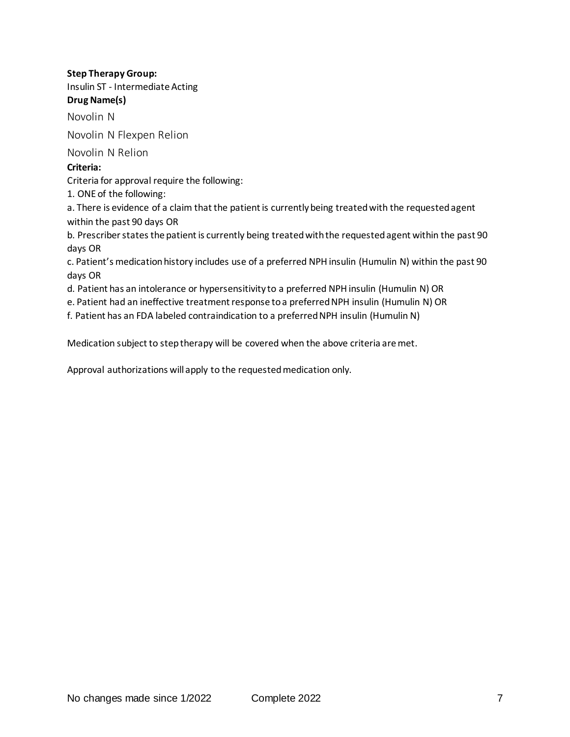# **Step Therapy Group:** Insulin ST - Intermediate Acting

# **Drug Name(s)**

Novolin N

Novolin N Flexpen Relion

Novolin N Relion

# **Criteria:**

Criteria for approval require the following:

1. ONE of the following:

a. There is evidence of a claim that the patient is currently being treated with the requested agent within the past 90 days OR

b. Prescriber states the patient is currently being treated with the requested agent within the past 90 days OR

c. Patient's medication history includes use of a preferred NPH insulin (Humulin N) within the past 90 days OR

d. Patient has an intolerance or hypersensitivity to a preferred NPH insulin (Humulin N) OR

e. Patient had an ineffective treatment response to a preferred NPH insulin (Humulin N) OR

f. Patient has an FDA labeled contraindication to a preferred NPH insulin (Humulin N)

Medication subject to step therapy will be covered when the above criteria are met.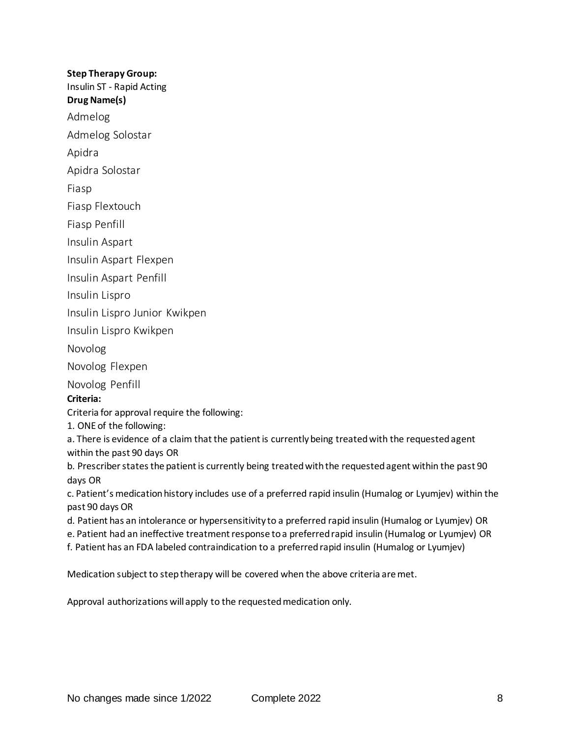#### **Step Therapy Group:**

Insulin ST - Rapid Acting

**Drug Name(s)**

Admelog

Admelog Solostar

Apidra

Apidra Solostar

Fiasp

Fiasp Flextouch

Fiasp Penfill

Insulin Aspart

Insulin Aspart Flexpen

Insulin Aspart Penfill

Insulin Lispro

Insulin Lispro Junior Kwikpen

Insulin Lispro Kwikpen

Novolog

Novolog Flexpen

Novolog Penfill

#### **Criteria:**

Criteria for approval require the following:

1. ONE of the following:

a. There is evidence of a claim that the patient is currently being treated with the requested agent within the past 90 days OR

b. Prescriber states the patient is currently being treated with the requested agent within the past 90 days OR

c. Patient's medication history includes use of a preferred rapid insulin (Humalog or Lyumjev) within the past 90 days OR

d. Patient has an intolerance or hypersensitivity to a preferred rapid insulin (Humalog or Lyumjev) OR

e. Patient had an ineffective treatment response to a preferred rapid insulin (Humalog or Lyumjev) OR

f. Patient has an FDA labeled contraindication to a preferred rapid insulin (Humalog or Lyumjev)

Medication subject to step therapy will be covered when the above criteria are met.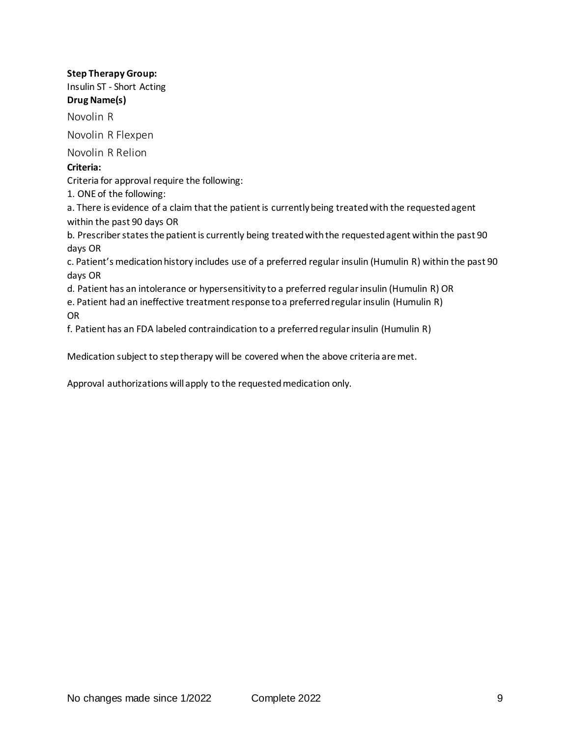## **Step Therapy Group:**

Insulin ST - Short Acting **Drug Name(s)**

Novolin R

Novolin R Flexpen

Novolin R Relion

#### **Criteria:**

Criteria for approval require the following:

1. ONE of the following:

a. There is evidence of a claim that the patient is currently being treated with the requested agent within the past 90 days OR

b. Prescriber states the patient is currently being treated with the requested agent within the past 90 days OR

c. Patient's medication history includes use of a preferred regular insulin (Humulin R) within the past 90 days OR

d. Patient has an intolerance or hypersensitivity to a preferred regular insulin (Humulin R) OR

e. Patient had an ineffective treatment response to a preferred regular insulin (Humulin R)

OR

f. Patient has an FDA labeled contraindication to a preferred regular insulin (Humulin R)

Medication subject to step therapy will be covered when the above criteria are met.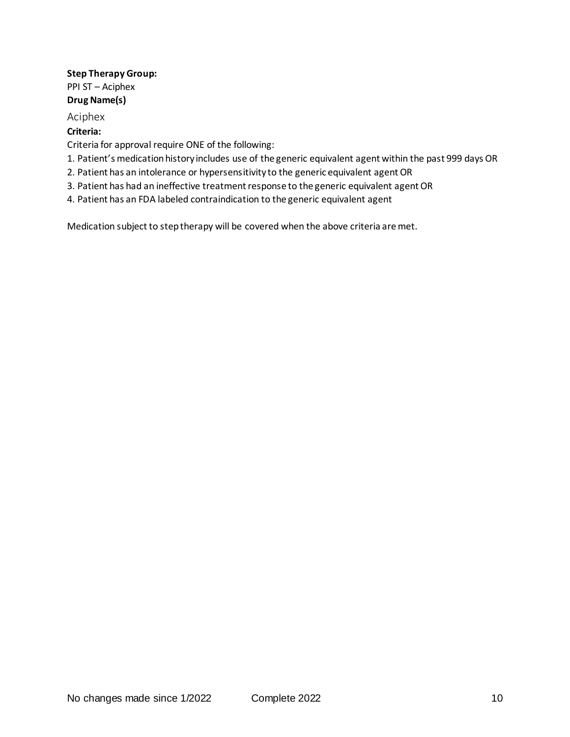#### **Step Therapy Group:** PPI ST – Aciphex **Drug Name(s)**

## Aciphex

#### **Criteria:**

Criteria for approval require ONE of the following:

- 1. Patient's medication history includes use of the generic equivalent agent within the past 999 days OR
- 2. Patient has an intolerance or hypersensitivity to the generic equivalent agent OR
- 3. Patient has had an ineffective treatment response to the generic equivalent agent OR
- 4. Patient has an FDA labeled contraindication to the generic equivalent agent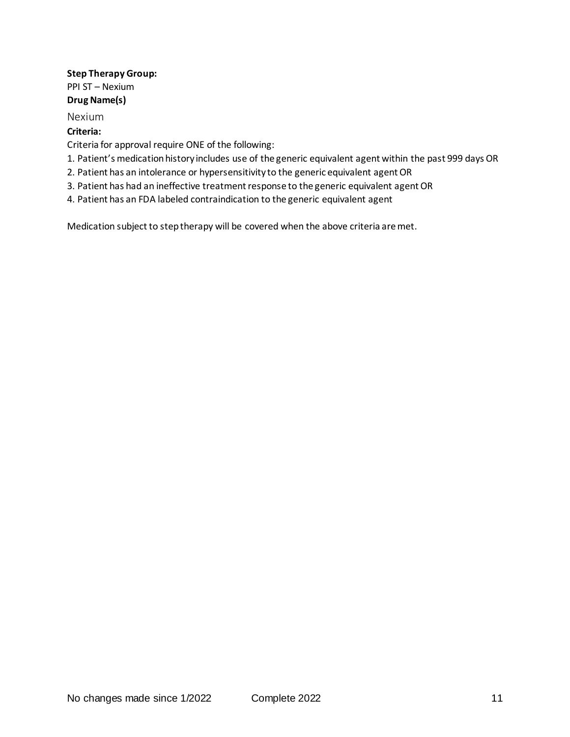#### **Step Therapy Group:** PPI ST – Nexium **Drug Name(s)**

#### Nexium

#### **Criteria:**

Criteria for approval require ONE of the following:

- 1. Patient's medication history includes use of the generic equivalent agent within the past 999 days OR
- 2. Patient has an intolerance or hypersensitivity to the generic equivalent agent OR
- 3. Patient has had an ineffective treatment response to the generic equivalent agent OR
- 4. Patient has an FDA labeled contraindication to the generic equivalent agent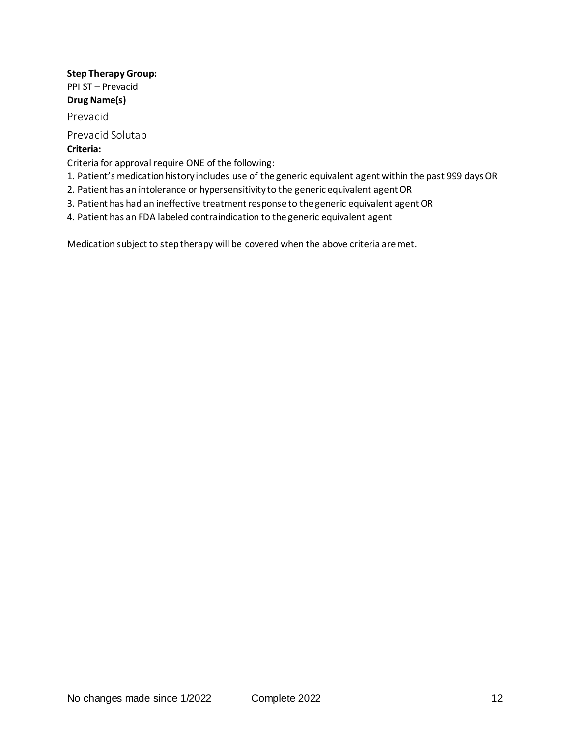#### **Step Therapy Group:** PPI ST – Prevacid **Drug Name(s)**

Prevacid

Prevacid Solutab

## **Criteria:**

Criteria for approval require ONE of the following:

- 1. Patient's medication history includes use of the generic equivalent agent within the past 999 days OR
- 2. Patient has an intolerance or hypersensitivity to the generic equivalent agent OR
- 3. Patient has had an ineffective treatment response to the generic equivalent agent OR
- 4. Patient has an FDA labeled contraindication to the generic equivalent agent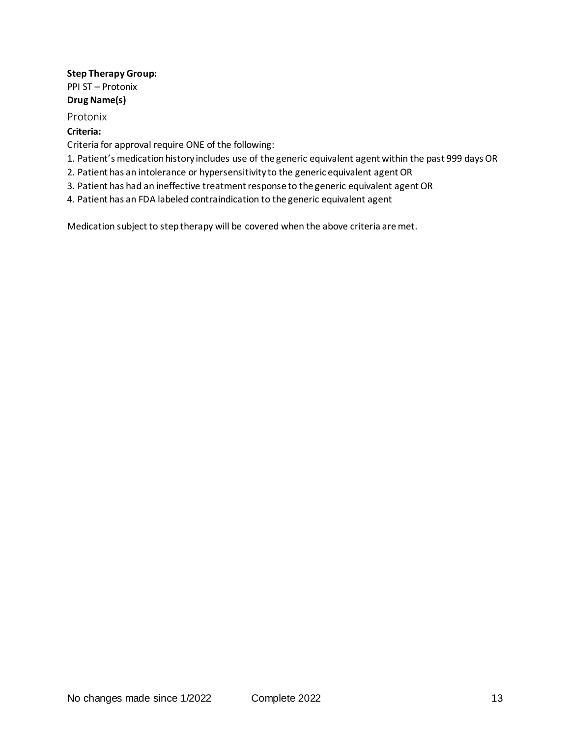#### **Step Therapy Group:** PPI ST – Protonix **Drug Name(s)**

#### Protonix

#### **Criteria:**

Criteria for approval require ONE of the following:

- 1. Patient's medication history includes use of the generic equivalent agent within the past 999 days OR
- 2. Patient has an intolerance or hypersensitivity to the generic equivalent agent OR
- 3. Patient has had an ineffective treatment response to the generic equivalent agent OR
- 4. Patient has an FDA labeled contraindication to the generic equivalent agent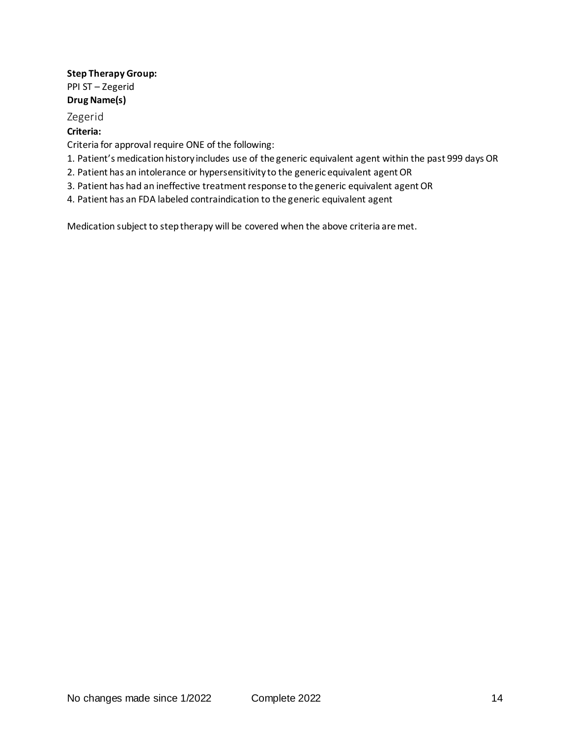#### **Step Therapy Group:** PPI ST – Zegerid **Drug Name(s)**

# Zegerid

## **Criteria:**

Criteria for approval require ONE of the following:

- 1. Patient's medication history includes use of the generic equivalent agent within the past 999 days OR
- 2. Patient has an intolerance or hypersensitivity to the generic equivalent agent OR
- 3. Patient has had an ineffective treatment response to the generic equivalent agent OR
- 4. Patient has an FDA labeled contraindication to the generic equivalent agent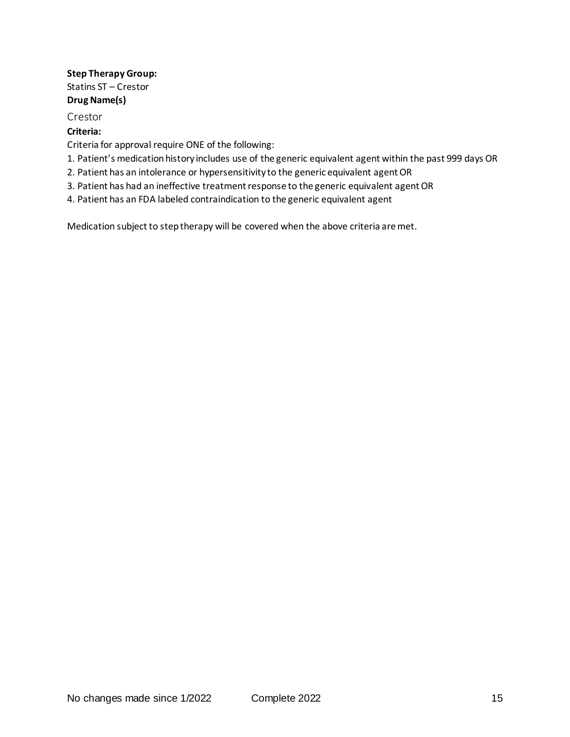## **Step Therapy Group:** Statins ST – Crestor **Drug Name(s)**

#### Crestor

#### **Criteria:**

Criteria for approval require ONE of the following:

- 1. Patient's medication history includes use of the generic equivalent agent within the past 999 days OR
- 2. Patient has an intolerance or hypersensitivity to the generic equivalent agent OR
- 3. Patient has had an ineffective treatment response to the generic equivalent agent OR
- 4. Patient has an FDA labeled contraindication to the generic equivalent agent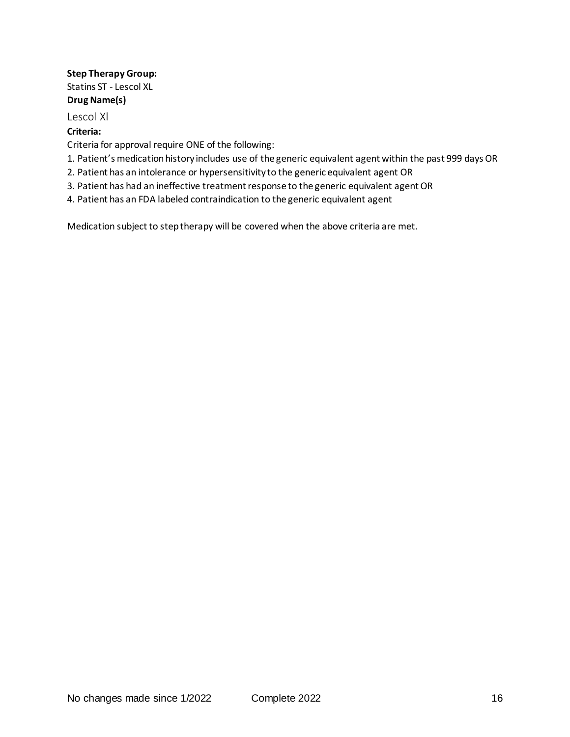## **Step Therapy Group:** Statins ST - Lescol XL **Drug Name(s)**

#### Lescol Xl

#### **Criteria:**

Criteria for approval require ONE of the following:

- 1. Patient's medication history includes use of the generic equivalent agent within the past 999 days OR
- 2. Patient has an intolerance or hypersensitivity to the generic equivalent agent OR
- 3. Patient has had an ineffective treatment response to the generic equivalent agent OR
- 4. Patient has an FDA labeled contraindication to the generic equivalent agent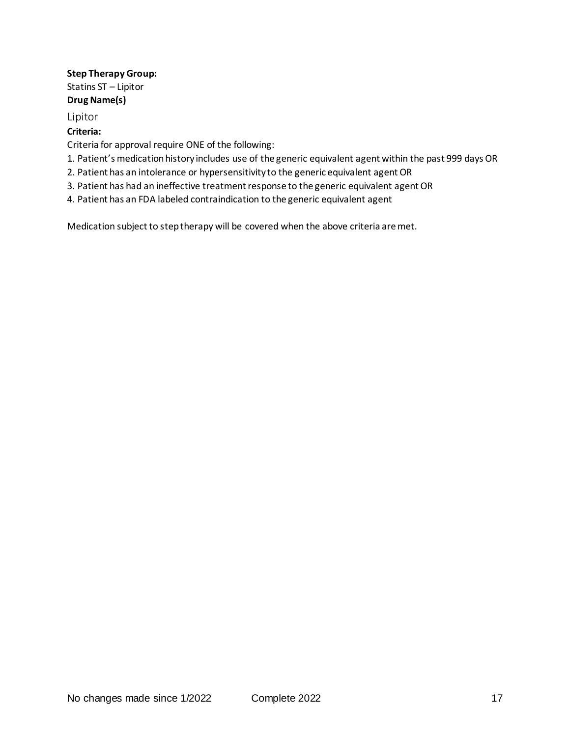## **Step Therapy Group:** Statins ST – Lipitor **Drug Name(s)**

Lipitor

#### **Criteria:**

Criteria for approval require ONE of the following:

- 1. Patient's medication history includes use of the generic equivalent agent within the past 999 days OR
- 2. Patient has an intolerance or hypersensitivity to the generic equivalent agent OR
- 3. Patient has had an ineffective treatment response to the generic equivalent agent OR
- 4. Patient has an FDA labeled contraindication to the generic equivalent agent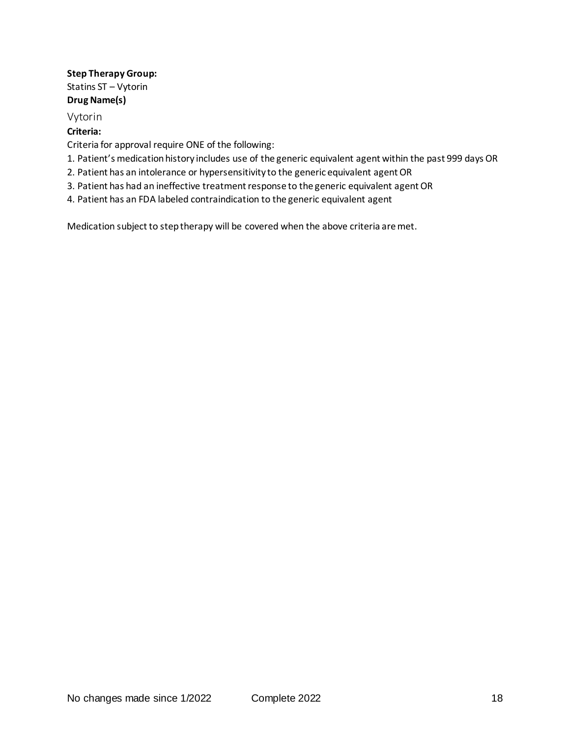## **Step Therapy Group:** Statins ST – Vytorin **Drug Name(s)**

#### Vytorin

#### **Criteria:**

Criteria for approval require ONE of the following:

- 1. Patient's medication history includes use of the generic equivalent agent within the past 999 days OR
- 2. Patient has an intolerance or hypersensitivity to the generic equivalent agent OR
- 3. Patient has had an ineffective treatment response to the generic equivalent agent OR
- 4. Patient has an FDA labeled contraindication to the generic equivalent agent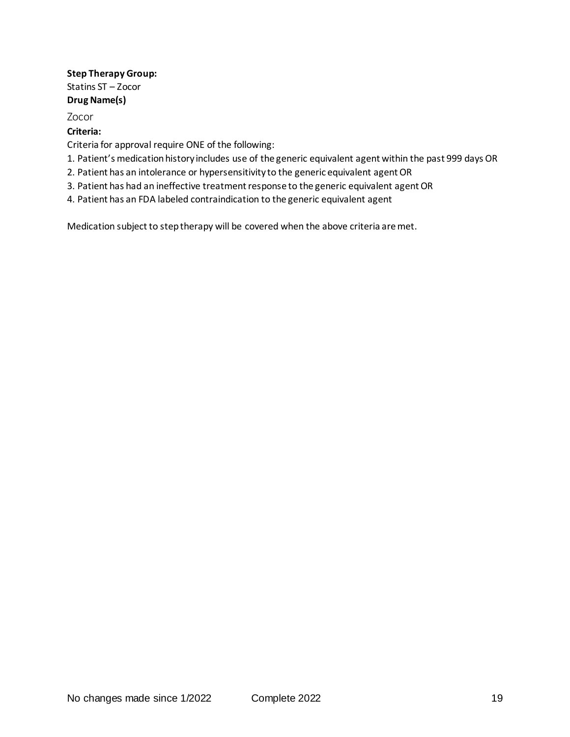#### **Step Therapy Group:** Statins ST – Zocor **Drug Name(s)**

Zocor

#### **Criteria:**

Criteria for approval require ONE of the following:

- 1. Patient's medication history includes use of the generic equivalent agent within the past 999 days OR
- 2. Patient has an intolerance or hypersensitivity to the generic equivalent agent OR
- 3. Patient has had an ineffective treatment response to the generic equivalent agent OR
- 4. Patient has an FDA labeled contraindication to the generic equivalent agent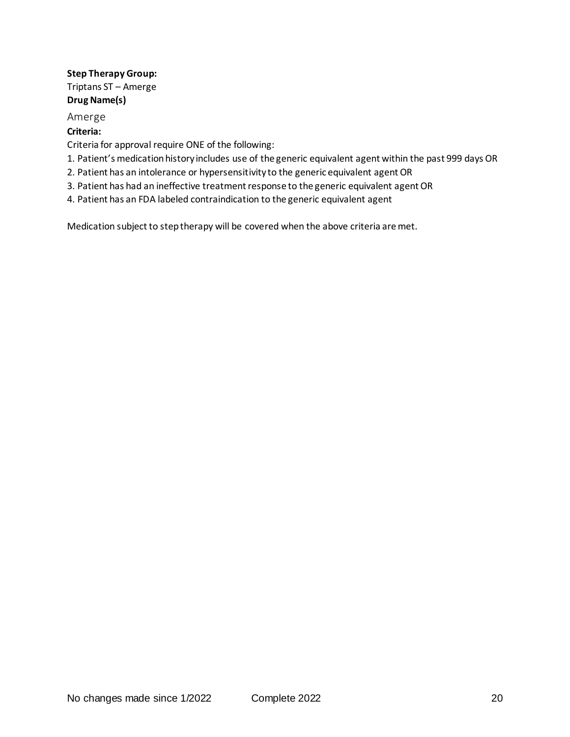## **Step Therapy Group:** Triptans ST – Amerge **Drug Name(s)**

#### Amerge

#### **Criteria:**

Criteria for approval require ONE of the following:

- 1. Patient's medication history includes use of the generic equivalent agent within the past 999 days OR
- 2. Patient has an intolerance or hypersensitivity to the generic equivalent agent OR
- 3. Patient has had an ineffective treatment response to the generic equivalent agent OR
- 4. Patient has an FDA labeled contraindication to the generic equivalent agent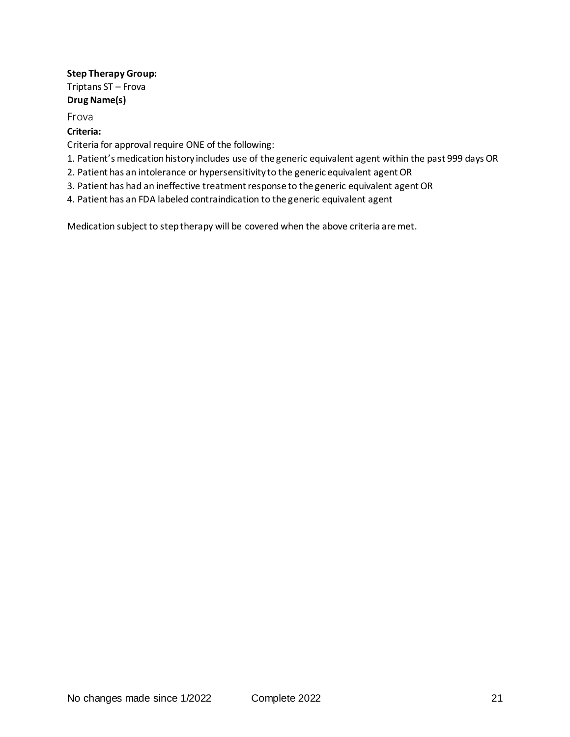## **Step Therapy Group:** Triptans ST – Frova **Drug Name(s)**

Frova

#### **Criteria:**

Criteria for approval require ONE of the following:

- 1. Patient's medication history includes use of the generic equivalent agent within the past 999 days OR
- 2. Patient has an intolerance or hypersensitivity to the generic equivalent agent OR
- 3. Patient has had an ineffective treatment response to the generic equivalent agent OR
- 4. Patient has an FDA labeled contraindication to the generic equivalent agent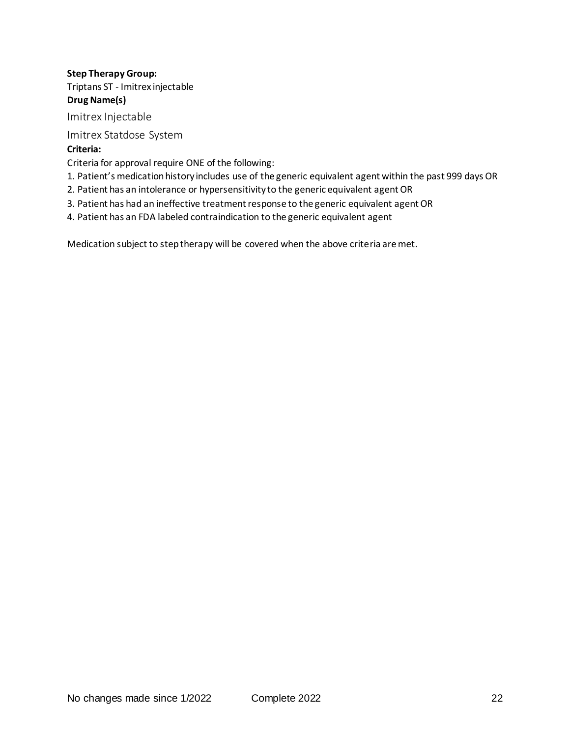# **Step Therapy Group:** Triptans ST - Imitrex injectable **Drug Name(s)**

Imitrex Injectable

Imitrex Statdose System

## **Criteria:**

Criteria for approval require ONE of the following:

- 1. Patient's medication history includes use of the generic equivalent agent within the past 999 days OR
- 2. Patient has an intolerance or hypersensitivity to the generic equivalent agent OR
- 3. Patient has had an ineffective treatment response to the generic equivalent agent OR
- 4. Patient has an FDA labeled contraindication to the generic equivalent agent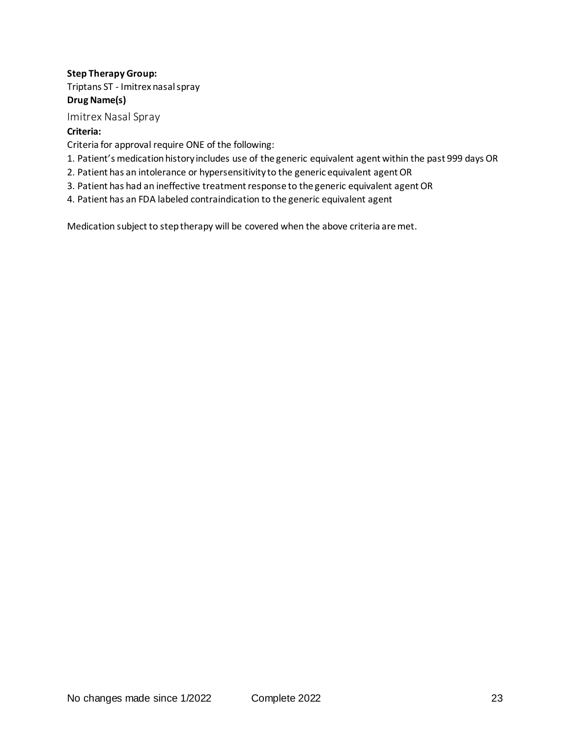# **Step Therapy Group:** Triptans ST - Imitrex nasal spray

#### **Drug Name(s)**

Imitrex Nasal Spray

## **Criteria:**

Criteria for approval require ONE of the following:

- 1. Patient's medication history includes use of the generic equivalent agent within the past 999 days OR
- 2. Patient has an intolerance or hypersensitivity to the generic equivalent agent OR
- 3. Patient has had an ineffective treatment response to the generic equivalent agent OR
- 4. Patient has an FDA labeled contraindication to the generic equivalent agent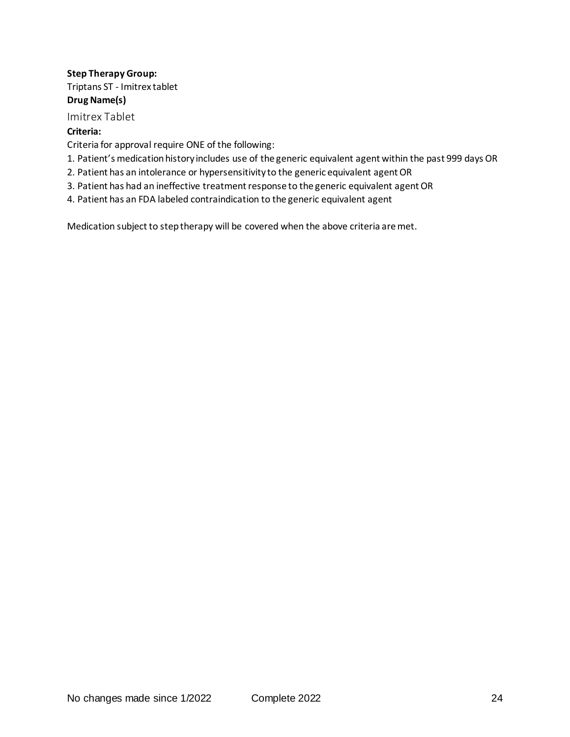#### **Step Therapy Group:** Triptans ST - Imitrex tablet

#### **Drug Name(s)**

Imitrex Tablet

## **Criteria:**

Criteria for approval require ONE of the following:

- 1. Patient's medication history includes use of the generic equivalent agent within the past 999 days OR
- 2. Patient has an intolerance or hypersensitivity to the generic equivalent agent OR
- 3. Patient has had an ineffective treatment response to the generic equivalent agent OR
- 4. Patient has an FDA labeled contraindication to the generic equivalent agent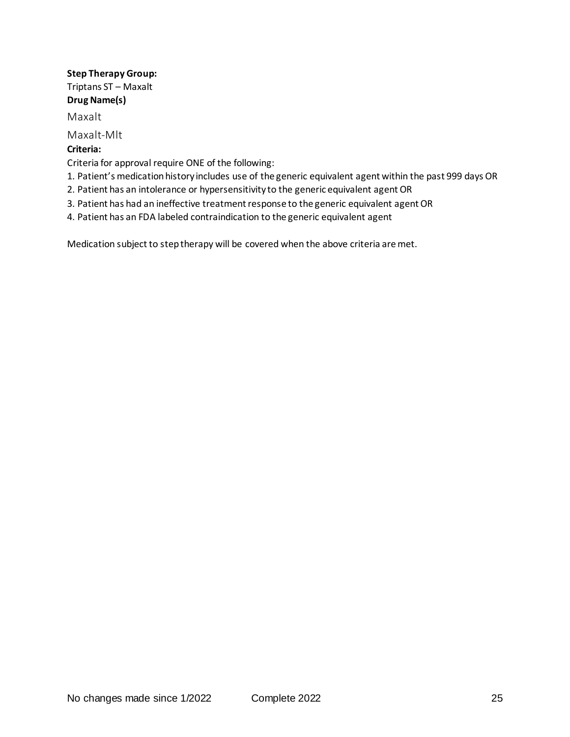## **Step Therapy Group:** Triptans ST – Maxalt **Drug Name(s)**

Maxalt

Maxalt-Mlt

## **Criteria:**

Criteria for approval require ONE of the following:

- 1. Patient's medication history includes use of the generic equivalent agent within the past 999 days OR
- 2. Patient has an intolerance or hypersensitivity to the generic equivalent agent OR
- 3. Patient has had an ineffective treatment response to the generic equivalent agent OR
- 4. Patient has an FDA labeled contraindication to the generic equivalent agent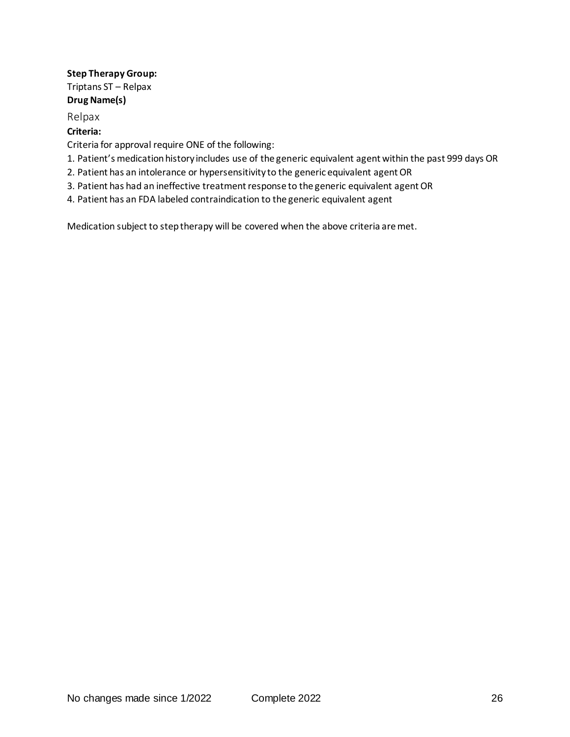#### **Step Therapy Group:** Triptans ST – Relpax **Drug Name(s)**

Relpax

#### **Criteria:**

Criteria for approval require ONE of the following:

- 1. Patient's medication history includes use of the generic equivalent agent within the past 999 days OR
- 2. Patient has an intolerance or hypersensitivity to the generic equivalent agent OR
- 3. Patient has had an ineffective treatment response to the generic equivalent agent OR
- 4. Patient has an FDA labeled contraindication to the generic equivalent agent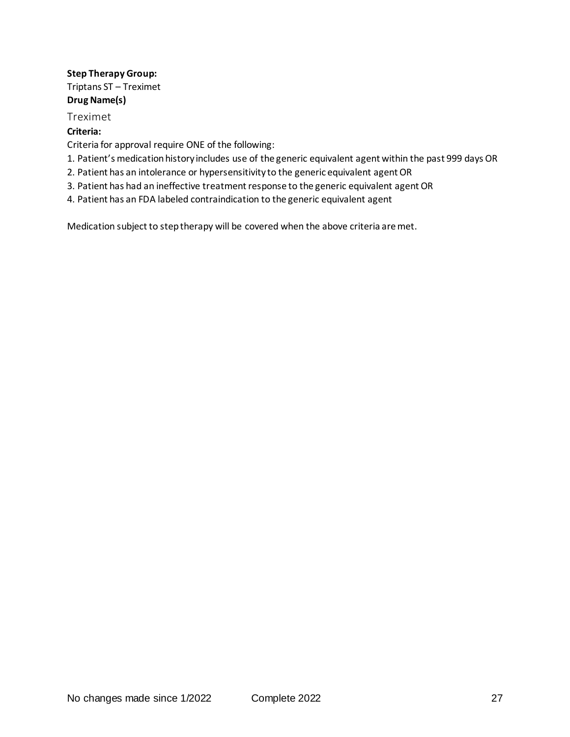# **Step Therapy Group:** Triptans ST – Treximet

# **Drug Name(s)**

Treximet

## **Criteria:**

Criteria for approval require ONE of the following:

- 1. Patient's medication history includes use of the generic equivalent agent within the past 999 days OR
- 2. Patient has an intolerance or hypersensitivity to the generic equivalent agent OR
- 3. Patient has had an ineffective treatment response to the generic equivalent agent OR
- 4. Patient has an FDA labeled contraindication to the generic equivalent agent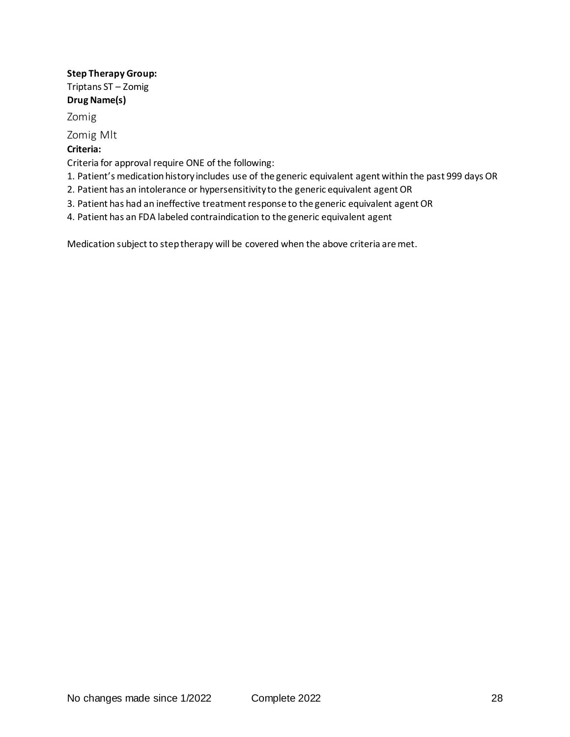## **Step Therapy Group:** Triptans ST – Zomig **Drug Name(s)**

Zomig

Zomig Mlt

## **Criteria:**

Criteria for approval require ONE of the following:

- 1. Patient's medication history includes use of the generic equivalent agent within the past 999 days OR
- 2. Patient has an intolerance or hypersensitivity to the generic equivalent agent OR
- 3. Patient has had an ineffective treatment response to the generic equivalent agent OR
- 4. Patient has an FDA labeled contraindication to the generic equivalent agent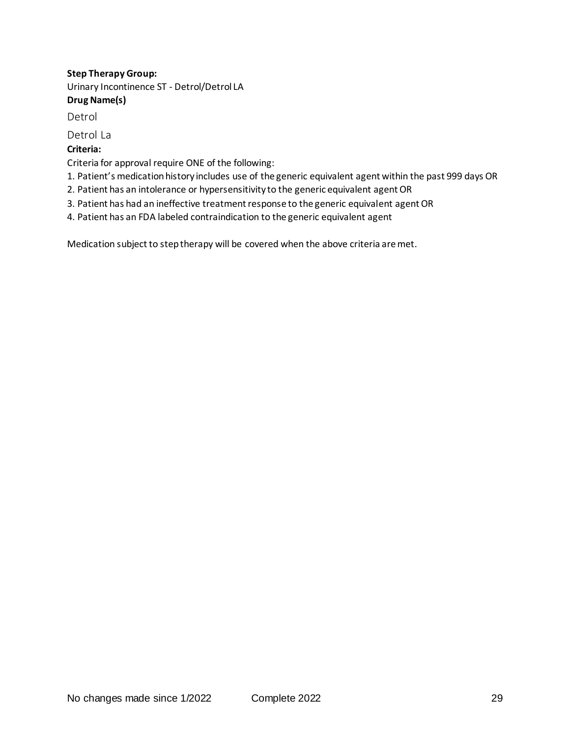# **Step Therapy Group:** Urinary Incontinence ST - Detrol/Detrol LA **Drug Name(s)**

Detrol

Detrol La

# **Criteria:**

Criteria for approval require ONE of the following:

- 1. Patient's medication history includes use of the generic equivalent agent within the past 999 days OR
- 2. Patient has an intolerance or hypersensitivity to the generic equivalent agent OR
- 3. Patient has had an ineffective treatment response to the generic equivalent agent OR
- 4. Patient has an FDA labeled contraindication to the generic equivalent agent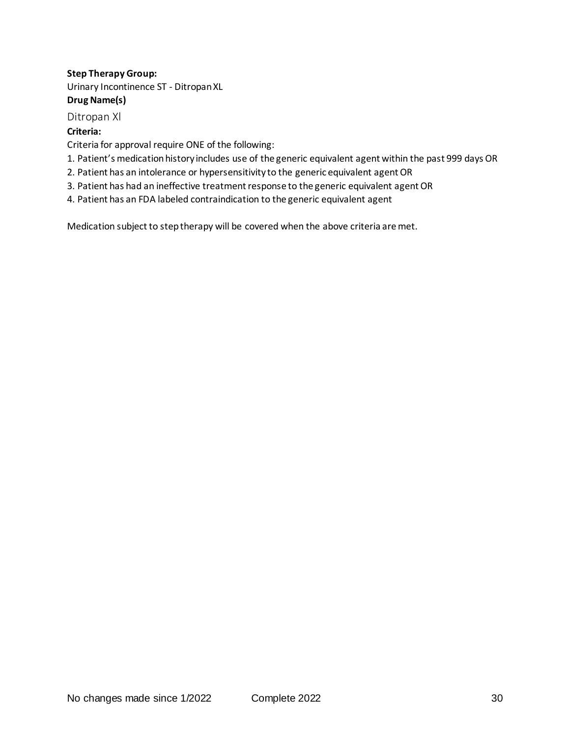## **Step Therapy Group:**

Urinary Incontinence ST - Ditropan XL **Drug Name(s)**

Ditropan Xl

#### **Criteria:**

Criteria for approval require ONE of the following:

- 1. Patient's medication history includes use of the generic equivalent agent within the past 999 days OR
- 2. Patient has an intolerance or hypersensitivity to the generic equivalent agent OR
- 3. Patient has had an ineffective treatment response to the generic equivalent agent OR
- 4. Patient has an FDA labeled contraindication to the generic equivalent agent